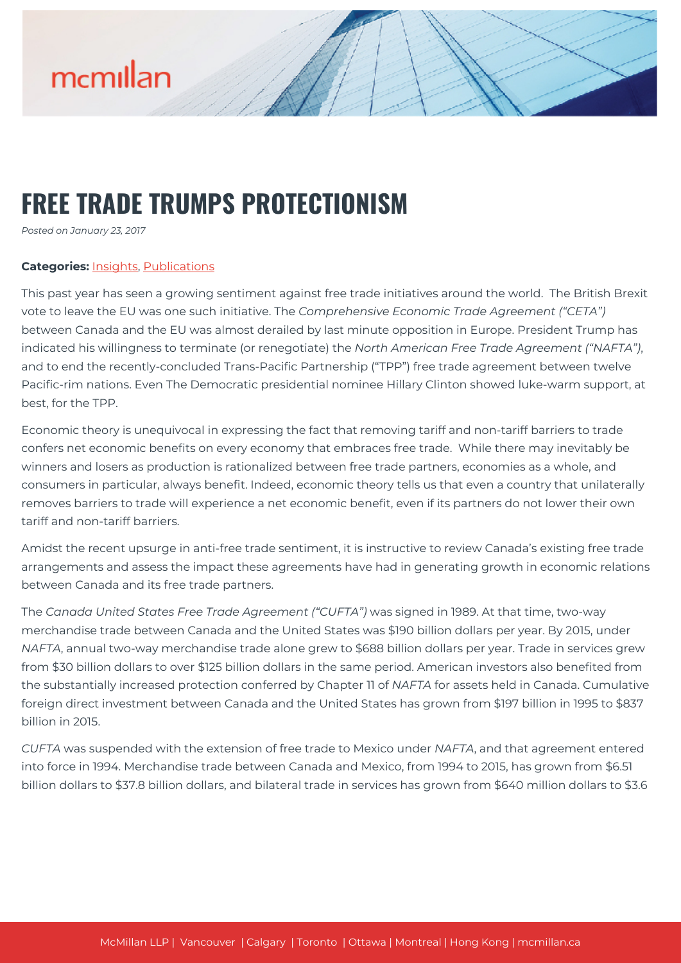

## **FREE TRADE TRUMPS PROTECTIONISM**

*Posted on January 23, 2017*

## **Categories:** [Insights,](https://mcmillan.ca/insights/) [Publications](https://mcmillan.ca/insights/publications/)

This past year has seen a growing sentiment against free trade initiatives around the world. The British Brexit vote to leave the EU was one such initiative. The *Comprehensive Economic Trade Agreement ("CETA")* between Canada and the EU was almost derailed by last minute opposition in Europe. President Trump has indicated his willingness to terminate (or renegotiate) the *North American Free Trade Agreement ("NAFTA")*, and to end the recently-concluded Trans-Pacific Partnership ("TPP") free trade agreement between twelve Pacific-rim nations. Even The Democratic presidential nominee Hillary Clinton showed luke-warm support, at best, for the TPP.

Economic theory is unequivocal in expressing the fact that removing tariff and non-tariff barriers to trade confers net economic benefits on every economy that embraces free trade. While there may inevitably be winners and losers as production is rationalized between free trade partners, economies as a whole, and consumers in particular, always benefit. Indeed, economic theory tells us that even a country that unilaterally removes barriers to trade will experience a net economic benefit, even if its partners do not lower their own tariff and non-tariff barriers.

Amidst the recent upsurge in anti-free trade sentiment, it is instructive to review Canada's existing free trade arrangements and assess the impact these agreements have had in generating growth in economic relations between Canada and its free trade partners.

The *Canada United States Free Trade Agreement ("CUFTA")* was signed in 1989. At that time, two-way merchandise trade between Canada and the United States was \$190 billion dollars per year. By 2015, under *NAFTA*, annual two-way merchandise trade alone grew to \$688 billion dollars per year. Trade in services grew from \$30 billion dollars to over \$125 billion dollars in the same period. American investors also benefited from the substantially increased protection conferred by Chapter 11 of *NAFTA* for assets held in Canada. Cumulative foreign direct investment between Canada and the United States has grown from \$197 billion in 1995 to \$837 billion in 2015.

*CUFTA* was suspended with the extension of free trade to Mexico under *NAFTA*, and that agreement entered into force in 1994. Merchandise trade between Canada and Mexico, from 1994 to 2015, has grown from \$6.51 billion dollars to \$37.8 billion dollars, and bilateral trade in services has grown from \$640 million dollars to \$3.6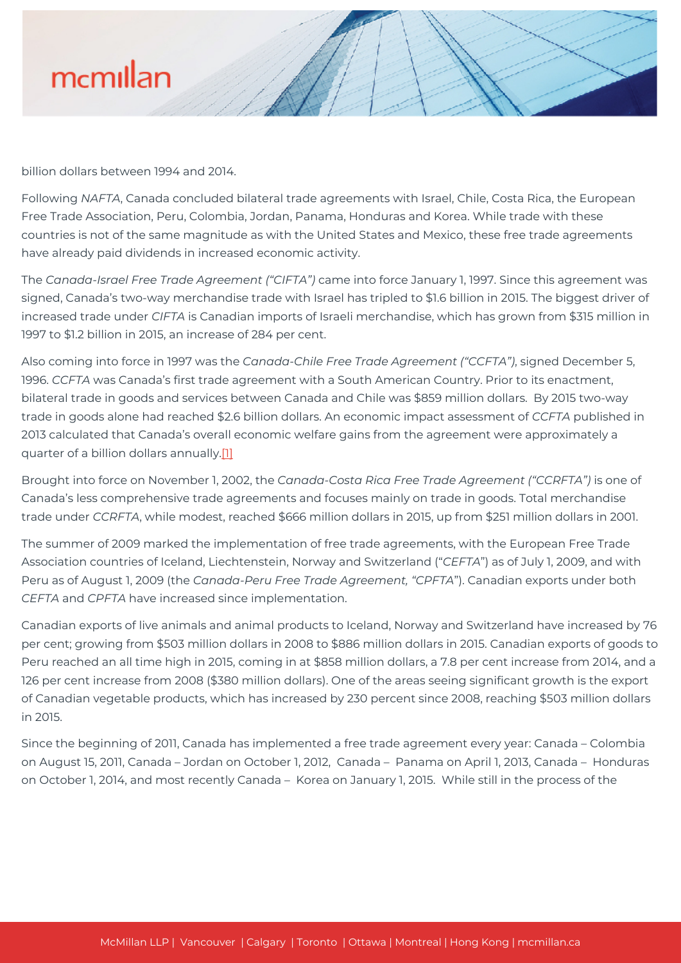

billion dollars between 1994 and 2014.

Following *NAFTA*, Canada concluded bilateral trade agreements with Israel, Chile, Costa Rica, the European Free Trade Association, Peru, Colombia, Jordan, Panama, Honduras and Korea. While trade with these countries is not of the same magnitude as with the United States and Mexico, these free trade agreements have already paid dividends in increased economic activity.

The *Canada-Israel Free Trade Agreement ("CIFTA")* came into force January 1, 1997. Since this agreement was signed, Canada's two-way merchandise trade with Israel has tripled to \$1.6 billion in 2015. The biggest driver of increased trade under *CIFTA* is Canadian imports of Israeli merchandise, which has grown from \$315 million in 1997 to \$1.2 billion in 2015, an increase of 284 per cent.

Also coming into force in 1997 was the *Canada-Chile Free Trade Agreement ("CCFTA")*, signed December 5, 1996. *CCFTA* was Canada's first trade agreement with a South American Country. Prior to its enactment, bilateral trade in goods and services between Canada and Chile was \$859 million dollars. By 2015 two-way trade in goods alone had reached \$2.6 billion dollars. An economic impact assessment of *CCFTA* published in 2013 calculated that Canada's overall economic welfare gains from the agreement were approximately a quarter of a billion dollars annually.[\[1\]](#page--1-0)

Brought into force on November 1, 2002, the *Canada-Costa Rica Free Trade Agreement ("CCRFTA")* is one of Canada's less comprehensive trade agreements and focuses mainly on trade in goods. Total merchandise trade under *CCRFTA*, while modest, reached \$666 million dollars in 2015, up from \$251 million dollars in 2001.

The summer of 2009 marked the implementation of free trade agreements, with the European Free Trade Association countries of Iceland, Liechtenstein, Norway and Switzerland ("*CEFTA*") as of July 1, 2009, and with Peru as of August 1, 2009 (the *Canada-Peru Free Trade Agreement, "CPFTA*"). Canadian exports under both *CEFTA* and *CPFTA* have increased since implementation.

Canadian exports of live animals and animal products to Iceland, Norway and Switzerland have increased by 76 per cent; growing from \$503 million dollars in 2008 to \$886 million dollars in 2015. Canadian exports of goods to Peru reached an all time high in 2015, coming in at \$858 million dollars, a 7.8 per cent increase from 2014, and a 126 per cent increase from 2008 (\$380 million dollars). One of the areas seeing significant growth is the export of Canadian vegetable products, which has increased by 230 percent since 2008, reaching \$503 million dollars in 2015.

Since the beginning of 2011, Canada has implemented a free trade agreement every year: Canada – Colombia on August 15, 2011, Canada – Jordan on October 1, 2012, Canada – Panama on April 1, 2013, Canada – Honduras on October 1, 2014, and most recently Canada – Korea on January 1, 2015. While still in the process of the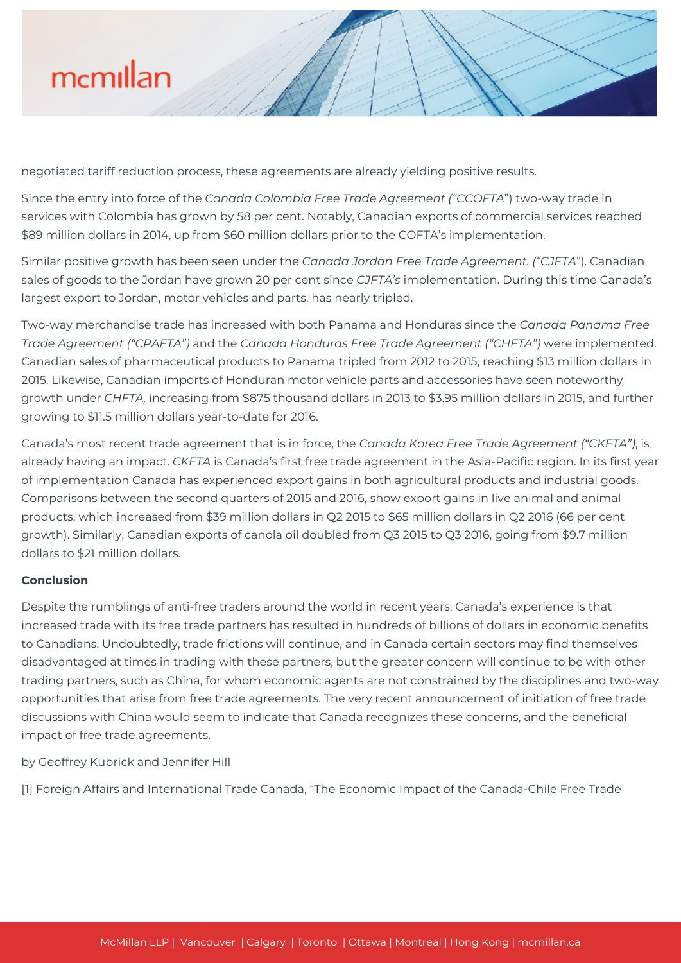

negotiated tariff reduction process, these agreements are already yielding positive results.

Since the entry into force of the *Canada Colombia Free Trade Agreement ("CCOFTA*") two-way trade in services with Colombia has grown by 58 per cent. Notably, Canadian exports of commercial services reached \$89 million dollars in 2014, up from \$60 million dollars prior to the COFTA's implementation.

Similar positive growth has been seen under the *Canada Jordan Free Trade Agreement. ("CJFTA*"). Canadian sales of goods to the Jordan have grown 20 per cent since *CJFTA's* implementation. During this time Canada's largest export to Jordan, motor vehicles and parts, has nearly tripled.

Two-way merchandise trade has increased with both Panama and Honduras since the *Canada Panama Free Trade Agreement ("CPAFTA")* and the *Canada Honduras Free Trade Agreement ("CHFTA")* were implemented. Canadian sales of pharmaceutical products to Panama tripled from 2012 to 2015, reaching \$13 million dollars in 2015. Likewise, Canadian imports of Honduran motor vehicle parts and accessories have seen noteworthy growth under *CHFTA,* increasing from \$875 thousand dollars in 2013 to \$3.95 million dollars in 2015, and further growing to \$11.5 million dollars year-to-date for 2016.

Canada's most recent trade agreement that is in force, the *Canada Korea Free Trade Agreement ("CKFTA")*, is already having an impact. *CKFTA* is Canada's first free trade agreement in the Asia-Pacific region. In its first year of implementation Canada has experienced export gains in both agricultural products and industrial goods. Comparisons between the second quarters of 2015 and 2016, show export gains in live animal and animal products, which increased from \$39 million dollars in Q2 2015 to \$65 million dollars in Q2 2016 (66 per cent growth). Similarly, Canadian exports of canola oil doubled from Q3 2015 to Q3 2016, going from \$9.7 million dollars to \$21 million dollars.

## **Conclusion**

Despite the rumblings of anti-free traders around the world in recent years, Canada's experience is that increased trade with its free trade partners has resulted in hundreds of billions of dollars in economic benefits to Canadians. Undoubtedly, trade frictions will continue, and in Canada certain sectors may find themselves disadvantaged at times in trading with these partners, but the greater concern will continue to be with other trading partners, such as China, for whom economic agents are not constrained by the disciplines and two-way opportunities that arise from free trade agreements. The very recent announcement of initiation of free trade discussions with China would seem to indicate that Canada recognizes these concerns, and the beneficial impact of free trade agreements.

by Geoffrey Kubrick and Jennifer Hill

[1] Foreign Affairs and International Trade Canada, "The Economic Impact of the Canada-Chile Free Trade